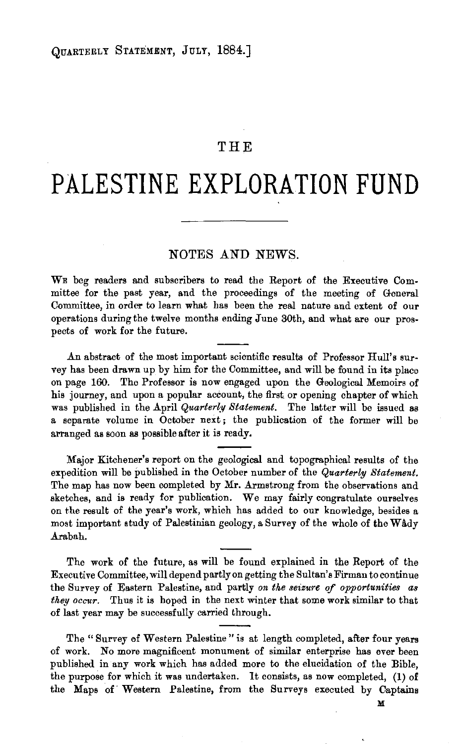## **THE**

## **PALESTINE EXPLORATION FUND**

## NOTES AND NEWS.

WE beg readers and subscribers to read the Report of the Executive Committee for the past year, and the proceedings of the meeting of General Committee, in order to learn what has been the real nature and extent of our operations during the twelve months ending June 30th, and what are our prospects of work for the future.

An abstract of the most important scientific results of Professor Hull's survey has been drawn up by him for the Committee, and will be found in its place on page 160. The Professor is now engaged upon the Geological Memoirs of his journey, and upon a popular account, the first or opening chapter of which was published in the April *Quarterly Statement*. The latter will be issued as a separate volume in October next; the publication of the former will be arranged as soon as possible after it is ready.

Major Kitchener's report on the geological and topographical results of the expedition will be published in the October number of the *Quarterly Statement.*  The map has now been completed by Mr. Armstrong from the observations and sketches, and is ready for publication. We may fairly congratulate ourselves on the result of the year's work, which has added to our knowledge, besides a most important study of Palestinian geology, a Survey of the whole of the Wady Arabah.

The work of the future, as will be found explained in the Report of the Executive Committee, will depend partly on getting the Sultan's Firman to continue the Survey of Eastern Palestine, and partly *on the seizure* qf *opportunities as they occur.* Thus it is hoped in the next winter that some work similar to that of last year may be successfully carried through.

The " Survey of Western Palestine " is at length completed, after four years of work. No more magnificent monument of similar enterprise has ever been published in any work which has added more to the elucidation of the Bible, the purpose for which it was undertaken. It consists, as now completed, **(1)** of the Maps of Western Palestine, from the Surveys executed by Captains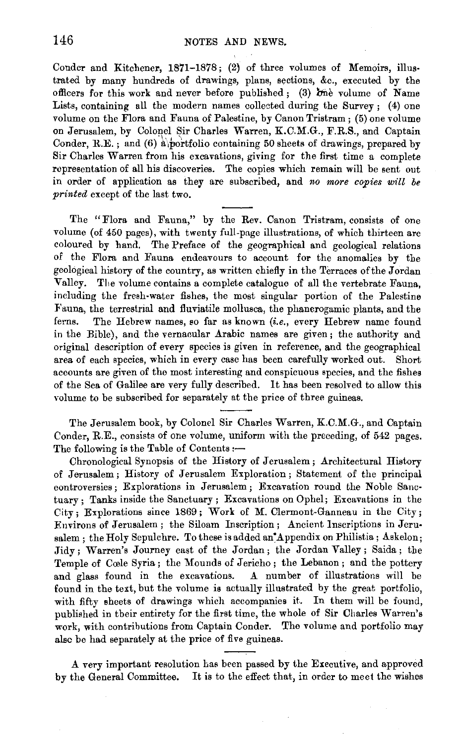Conder and Kitchener, 1871-1878; (2} of three volumes of Memoirs, illus· trated by many hundreds of drawings, plans, sections, &c., executed by the officers for this work and never before published; (3) one volume of Name Lists, containing all the modern names collected during the Survey;  $(4)$  one volume on the Flora and Fauna of Palestine, by Canon Tristram; (5) one volume on Jerusalem, by Colonel Sir Charles Warren, K.C.M.G., F.R.S., and Captain Conder, R.E.; and (6) a portfolio containing 50 sheets of drawings, prepared by Sir Charles Warren from his excavations, giving for the first time a complete representation of all his discoveries. The copies which remain will be sent out in order of application as they are subscribed, and *no more copies will be printed* except of the last two.

The "Flora and Fauna," by the Rev. Canon Tristram, consists of one volume (of 450 pages), with twenty full-page illustrations, of which thirteen are coloured by hand. The Preface of the geographical and geological relations of the Flora and Fauna endeavours to account for the anomalies by the geological history of the country, as written chiefly in the Terraces of the Jordan Valley. The volume contains a complete catalogue of all the vertebrate Fauna, including the fresh-water fishes, the most singular portion of the Palestine :Fauna, the terrestrial and Huviatile mollusca, the phanerogamic plants, and the ferns. The Hebrew names, so far as known *(i.e.,* every Hebrew name found in the Bible), and the vernacular Arabic names are given; the authority and original description of every species is given in reference, and the geographical area of each species, which in every case has been carefully worked out. Short accounts are given of the most interesting and conspicuous species, and the fishes of the Sea of Galilee are very fully described. It has been resolved to allow this volume to be subscribed for separately at the price of three guineas.

The Jerusalem book, by Colonel Sir Charles Warren, K.C.M.G., and Captain Conder, R.E., consists of one volume, uniform with the preceding, of 542 pages. The following is the Table of Contents: $-$ 

Chronological Synopsis of the History of Jerusalem ; Architectural History of Jerusalem; History of Jerusalem Exploration ; Statement of the principal controversies; Explorations in Jerusalem; Excavation round the Noble Sanctuary ; Tanks inside the Sanctuary ; Excavations on Ophel; Excavations in the City; Explorations since 1869 ; Work of M. Clermont-Ganneau in the City ; Environs of Jerusalem; the Siloam Inscription; Ancient Inscriptions in Jeru· salem; the Holy Sepulchre. To these is added an Appendix on Philistia; Askelon; Jidy; Warren's Journey east of the Jordan; the Jordan Valley; Saida; the Temple of Coole Syria; the Mounds of Jericho ; the Lebanon; and the pottery and glass found in the excavations. A number of illustrations will be found in the text, but the volume is actually illustrated by the great portfolio, with fifty sheets of drawings which accompanies it. In them will be found, published in their entirety for the first time, the whole of Sir Charles Warren's work, with contributions from Captain Conder. The volume and portfolio may also be had separately at the price of five guineas.

A very important resolution has been passed by the Executive, and approved by the General Committee. It is to the effect that, in order to meet the wishes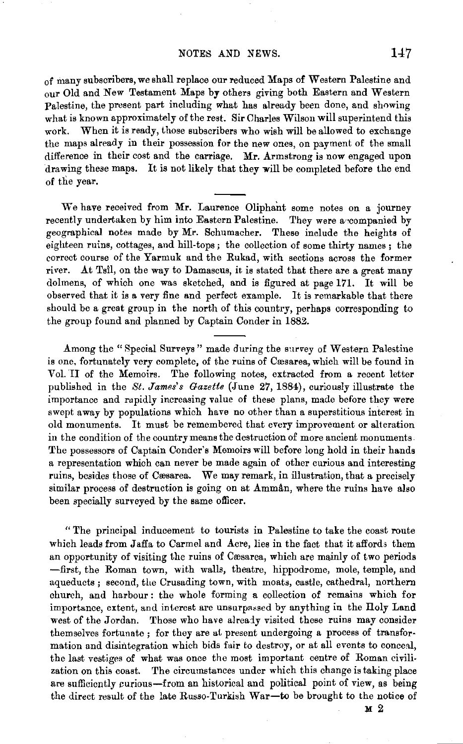of many subscribers, we shall replace our reduced Maps of Western Palestine and our Old and New Testament Maps by others giving both Eastern and Western Palestine, the present part including what has already been done, and showing what is known approximately of the rest. Sir Charles Wilson will superintend this work. When it is ready, those subscribers who wish will be allowed to exchange the maps already in their possession for the new ones, on payment of the small difference in their cost and the carriage. Mr. Armstrong is now engaged upon drawing these maps. It is not likely that they will be completed before the end of the year.

We have received from Mr. Laurence Oliphant some notes on a journey recently undertaken by him into Eastern Palestine. They were a companied by geographical notes made by Mr. Schumacher. These include the heights of eighteen ruins, cottages, and hill-tops; the collection of some thirty names ; the correct course of the Yarmuk and the Rukad, with sections across the former river. At Tsil, on the way to Damascus, it is stated that there are a great many dolmens, of which one was sketched, and is figured at page 171. It will be observed that it is a very fine and perfect example. It is remarkable that there should be a great group in the north of this country, perhaps corresponding to the group found and planned by Captain Conder in 1882.

Among the "Special Surveys" made during the survey of Western Palestine is one, fortunately very complete, of the ruins of Cæsarea, which will be found in Vol. TI of the Memoirs. The following notes, extracted from a recent letter published in the *St. James's Gazette* (June 27, 1884), curiously illustrate the importance and rapidly increasing value of these plans, made before they were swept away by populations which have no other than a superstitious interest in old monuments. It must be remembered that every improvement or alteration in the condition of the country means the destruction of more ancient monuments. The possessors of Captain Conder's Memoirs will before long hold in their hands a representation which can never be made again of other curious and interesting ruins, besides those of Cæsarea. We may remark, in illustration, that a precisely similar process of destruction is going on at  $A<sub>mm</sub>$ an, where the ruins have also been specially surveyed by the same officer.

" The principal inducement to tourists in Palestine to take the coast route which leads from Jaffa to Carmel and Acre, lies in the fact that it affords them an opportunity of visiting the ruins of Cæsarea, which are mainly of two periods -first, the Roman town, with walls, theatre, hippodrome, mole, temple, and aqueducts ; second, the Crusading town, with moats, castle, cathedral, northern church, and harbour : the whole forming a collection of remains which for importance, extent, and interest are unsurpassed by anything in the Holy Land west of the Jordan. Those who have already visited these ruins may consider themselves fortunate; for they are at present undergoing a process of transformation and disintegration which bids fair to destroy, or at all events to conceal, the last vestiges of what was once the most important centre of Roman civilization on this coast. The circumstances under which this change is taking place are sufficiently curious-from an historical and political point of view, as being the direct result of the late Russo-Turkish War-to be brought to the notice of

M2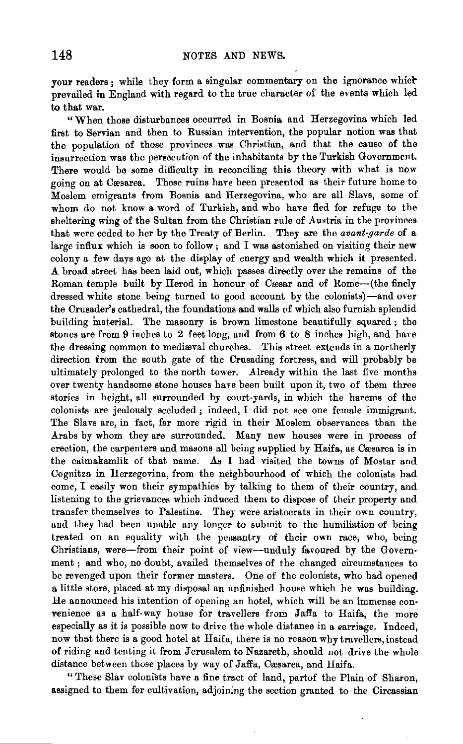your readers; while they form a singular commentary on the ignorance which prevailed in England with regard to the true character of the events which led to that war.

"When those disturbances occurred in Bosnia and Herzegovina which led first to Servian and then to Russian intervention, the popular notion was that the population of those provinces was Christian, and that the cause of the insurrection was the persecution of the inhabitants by the Turkish Government. There would be some difficulty in reconciling this theory with what is now going on at Cæsarea. These ruins have been presented as their future home to Moslem emigrants from Bosnia and Herzegovina, who are all Slavs, some of whom do not know a word of Turkish, and who have fled for refuge to the sheltering wing of the Sultan from the Christian rule of Austria in the provinces that were ceded to her by the Treaty of Berlin. They are the *avant-garde* of a large influx which is soon to follow; and I was astonished on visiting their new colony a few days ago at the display of energy and wealth which it presented. A broad street has been laid out, which passes directly over the remains of the Roman temple built by Herod in honour of Cæsar and of Rome---- (the finely dressed white stone being turned to good account by the colonists)-and over the Crusader's cathedral, the foundations and walls of which also furnish splendid building material. The masonry is brown limestone beautifully squared ; the stones are from 9 inches to 2 feet long, and from 6 to 8 inches high, and have the dressing common to mediaval churches. This street extends in a northerly direction from the south gate of the Crusading fortress, and will probably be ultimately prolonged to the north tower. Already within the last five months over twenty handsome stone houses have been built upon it, two of them three stories in height, all surrounded by court-yards, in which the harems of the colonists are jealously secluded ; indeed, I did not see one female immigrant. The Slavs are, in fact, far more rigid in their Moslem observances than the Arabs by whom they are surrounded. Many new houses were in process of erection, the carpenters and masons all being supplied by Haifa, as Cæsarea is in the caimakamlik of that name. As I had visited the towns of Mostar and Cognitza in Herzegovina, from the neighbourhood of which the colonists had come, I easily won their sympathies by talking to them of their country, and listening to the grievances which induced them to dispose of their property and transfer themselves to Palestine. They were aristocrats in their own country, and they had been unable any longer to submit to the humiliation of being treated on an equality with the peasantry of their own race, who, being Christians, were-from their point of view-unduly favoured by the Government ; and who, no doubt, availed themselves of the changed circumstances to be revenged upon their former masters. One of the colonists, who had opened a little store, placed at my disposal an unfinished house which he was building. He announced his intention of opening an hotel, which will be an immense con· venience as a half-way house for travellers from Jaffa to Haifa, the more especially as it is possible now to drive the whole distance in a earriage. Indeed, now that there is a good hotel at Haifa, there is no reason why travellers, instead of riding and tenting it from Jerusalem to Nazareth, should not drive the whole distance between those places by way of Jaffa, Cæsarea, and Haifa.

" These Slav colonists have a fine tract of land, partof the Plain of Sharon, assigned to them for cultivation, adjoining the section granted to the Circassian